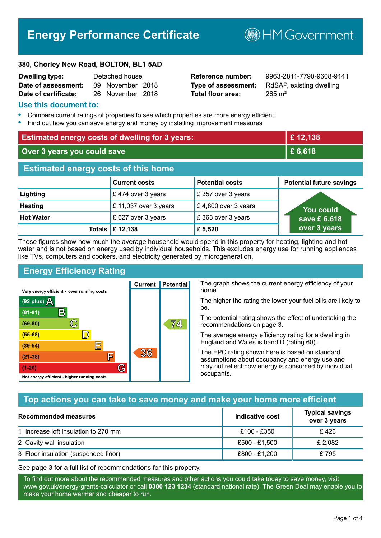# **Energy Performance Certificate**

**B**HM Government

#### **380, Chorley New Road, BOLTON, BL1 5AD**

| <b>Dwelling type:</b> | Detached house |                  |  |
|-----------------------|----------------|------------------|--|
| Date of assessment:   |                | 09 November 2018 |  |
| Date of certificate:  |                | 26 November 2018 |  |

**Total floor area:** 265 m<sup>2</sup>

**Reference number:** 9963-2811-7790-9608-9141 **Type of assessment:** RdSAP, existing dwelling

#### **Use this document to:**

- **•** Compare current ratings of properties to see which properties are more energy efficient
- **•** Find out how you can save energy and money by installing improvement measures

| <b>Estimated energy costs of dwelling for 3 years:</b> |                                  |                        | £12,138                         |
|--------------------------------------------------------|----------------------------------|------------------------|---------------------------------|
| Over 3 years you could save                            |                                  | £6,618                 |                                 |
| <b>Estimated energy costs of this home</b>             |                                  |                        |                                 |
|                                                        | <b>Current costs</b>             | <b>Potential costs</b> | <b>Potential future savings</b> |
| Lighting                                               | £474 over 3 years                | £357 over 3 years      |                                 |
| <b>Heating</b>                                         | £ 11,037 over 3 years            | £4,800 over 3 years    | <b>You could</b>                |
| <b>Hot Water</b>                                       | £ 627 over 3 years               | £363 over 3 years      | save £6,618                     |
|                                                        | Totals $\mathbf \epsilon$ 12,138 | £ 5,520                | over 3 years                    |

These figures show how much the average household would spend in this property for heating, lighting and hot water and is not based on energy used by individual households. This excludes energy use for running appliances like TVs, computers and cookers, and electricity generated by microgeneration.

**Current | Potential** 

 $36$ 

## **Energy Efficiency Rating**

 $\mathbb{C}$ 

 $\mathbb{D}$ 

E

眉

G

Very energy efficient - lower running costs

 $\mathsf{R}% _{T}$ 

Not energy efficient - higher running costs

(92 plus)  $\Delta$ 

 $(81 - 91)$ 

 $(69 - 80)$ 

 $(55-68)$ 

 $(39 - 54)$ 

 $(21-38)$ 

 $(1-20)$ 

The graph shows the current energy efficiency of your home.

The higher the rating the lower your fuel bills are likely to be.

The potential rating shows the effect of undertaking the recommendations on page 3.

The average energy efficiency rating for a dwelling in England and Wales is band D (rating 60).

The EPC rating shown here is based on standard assumptions about occupancy and energy use and may not reflect how energy is consumed by individual occupants.

## **Top actions you can take to save money and make your home more efficient**

74,

| Recommended measures                 | Indicative cost | <b>Typical savings</b><br>over 3 years |
|--------------------------------------|-----------------|----------------------------------------|
| 1 Increase loft insulation to 270 mm | £100 - £350     | £ 426                                  |
| 2 Cavity wall insulation             | £500 - £1,500   | £ 2,082                                |
| 3 Floor insulation (suspended floor) | £800 - £1,200   | £795                                   |

See page 3 for a full list of recommendations for this property.

To find out more about the recommended measures and other actions you could take today to save money, visit www.gov.uk/energy-grants-calculator or call **0300 123 1234** (standard national rate). The Green Deal may enable you to make your home warmer and cheaper to run.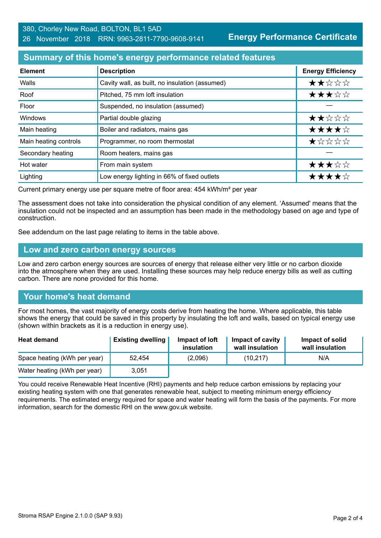**Energy Performance Certificate**

### **Summary of this home's energy performance related features**

| <b>Element</b>        | <b>Description</b>                             | <b>Energy Efficiency</b> |
|-----------------------|------------------------------------------------|--------------------------|
| Walls                 | Cavity wall, as built, no insulation (assumed) | ★★☆☆☆                    |
| Roof                  | Pitched, 75 mm loft insulation                 | ★★★☆☆                    |
| Floor                 | Suspended, no insulation (assumed)             |                          |
| Windows               | Partial double glazing                         | ★★☆☆☆                    |
| Main heating          | Boiler and radiators, mains gas                | ★★★★☆                    |
| Main heating controls | Programmer, no room thermostat                 | ★☆☆☆☆                    |
| Secondary heating     | Room heaters, mains gas                        |                          |
| Hot water             | From main system                               | ★★★☆☆                    |
| Lighting              | Low energy lighting in 66% of fixed outlets    | ★★★★☆                    |

Current primary energy use per square metre of floor area: 454 kWh/m² per year

The assessment does not take into consideration the physical condition of any element. 'Assumed' means that the insulation could not be inspected and an assumption has been made in the methodology based on age and type of construction.

See addendum on the last page relating to items in the table above.

#### **Low and zero carbon energy sources**

Low and zero carbon energy sources are sources of energy that release either very little or no carbon dioxide into the atmosphere when they are used. Installing these sources may help reduce energy bills as well as cutting carbon. There are none provided for this home.

## **Your home's heat demand**

For most homes, the vast majority of energy costs derive from heating the home. Where applicable, this table shows the energy that could be saved in this property by insulating the loft and walls, based on typical energy use (shown within brackets as it is a reduction in energy use).

| <b>Heat demand</b>           | <b>Existing dwelling</b> | Impact of loft<br>insulation | Impact of cavity<br>wall insulation | Impact of solid<br>wall insulation |
|------------------------------|--------------------------|------------------------------|-------------------------------------|------------------------------------|
| Space heating (kWh per year) | 52.454                   | (2,096)                      | (10, 217)                           | N/A                                |
| Water heating (kWh per year) | 3,051                    |                              |                                     |                                    |

You could receive Renewable Heat Incentive (RHI) payments and help reduce carbon emissions by replacing your existing heating system with one that generates renewable heat, subject to meeting minimum energy efficiency requirements. The estimated energy required for space and water heating will form the basis of the payments. For more information, search for the domestic RHI on the www.gov.uk website.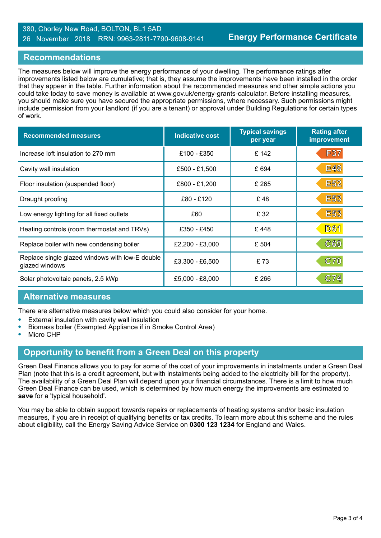#### 380, Chorley New Road, BOLTON, BL1 5AD 26 November 2018 RRN: 9963-2811-7790-9608-9141

### **Recommendations**

The measures below will improve the energy performance of your dwelling. The performance ratings after improvements listed below are cumulative; that is, they assume the improvements have been installed in the order that they appear in the table. Further information about the recommended measures and other simple actions you could take today to save money is available at www.gov.uk/energy-grants-calculator. Before installing measures, you should make sure you have secured the appropriate permissions, where necessary. Such permissions might include permission from your landlord (if you are a tenant) or approval under Building Regulations for certain types of work.

| <b>Recommended measures</b>                                       | Indicative cost | <b>Typical savings</b><br>per year | <b>Rating after</b><br>improvement |
|-------------------------------------------------------------------|-----------------|------------------------------------|------------------------------------|
| Increase loft insulation to 270 mm                                | £100 - £350     | £142                               | F37                                |
| Cavity wall insulation                                            | £500 - £1,500   | £694                               | <b>E48</b>                         |
| Floor insulation (suspended floor)                                | £800 - £1,200   | £ 265                              | <b>E52</b>                         |
| Draught proofing                                                  | £80 - £120      | £48                                | <b>E53</b>                         |
| Low energy lighting for all fixed outlets                         | £60             | £ 32                               | <b>E53</b>                         |
| Heating controls (room thermostat and TRVs)                       | £350 - £450     | £448                               | <b>D61</b>                         |
| Replace boiler with new condensing boiler                         | £2,200 - £3,000 | £ 504                              | C69                                |
| Replace single glazed windows with low-E double<br>glazed windows | £3,300 - £6,500 | £73                                | C70                                |
| Solar photovoltaic panels, 2.5 kWp                                | £5,000 - £8,000 | £ 266                              | C74                                |

#### **Alternative measures**

There are alternative measures below which you could also consider for your home.

- **•** External insulation with cavity wall insulation
- **•** Biomass boiler (Exempted Appliance if in Smoke Control Area)
- **•** Micro CHP

#### **Opportunity to benefit from a Green Deal on this property**

Green Deal Finance allows you to pay for some of the cost of your improvements in instalments under a Green Deal Plan (note that this is a credit agreement, but with instalments being added to the electricity bill for the property). The availability of a Green Deal Plan will depend upon your financial circumstances. There is a limit to how much Green Deal Finance can be used, which is determined by how much energy the improvements are estimated to **save** for a 'typical household'.

You may be able to obtain support towards repairs or replacements of heating systems and/or basic insulation measures, if you are in receipt of qualifying benefits or tax credits. To learn more about this scheme and the rules about eligibility, call the Energy Saving Advice Service on **0300 123 1234** for England and Wales.